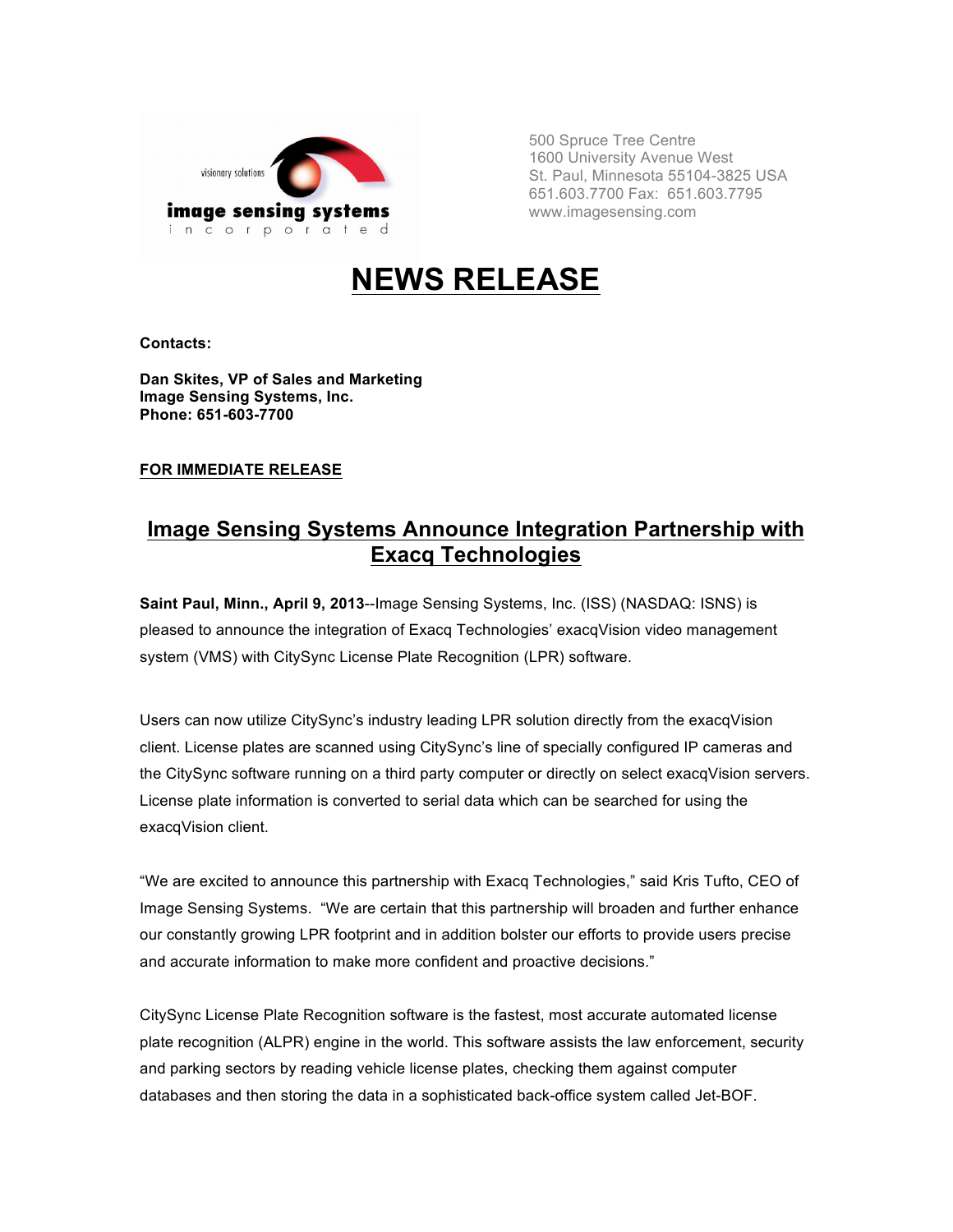

500 Spruce Tree Centre 1600 University Avenue West St. Paul, Minnesota 55104-3825 USA 651.603.7700 Fax: 651.603.7795 www.imagesensing.com

# **NEWS RELEASE**

**Contacts:**

**Dan Skites, VP of Sales and Marketing Image Sensing Systems, Inc. Phone: 651-603-7700**

### **FOR IMMEDIATE RELEASE**

## **Image Sensing Systems Announce Integration Partnership with Exacq Technologies**

**Saint Paul, Minn., April 9, 2013**--Image Sensing Systems, Inc. (ISS) (NASDAQ: ISNS) is pleased to announce the integration of Exacq Technologies' exacqVision video management system (VMS) with CitySync License Plate Recognition (LPR) software.

Users can now utilize CitySync's industry leading LPR solution directly from the exacqVision client. License plates are scanned using CitySync's line of specially configured IP cameras and the CitySync software running on a third party computer or directly on select exacqVision servers. License plate information is converted to serial data which can be searched for using the exacqVision client.

"We are excited to announce this partnership with Exacq Technologies," said Kris Tufto, CEO of Image Sensing Systems. "We are certain that this partnership will broaden and further enhance our constantly growing LPR footprint and in addition bolster our efforts to provide users precise and accurate information to make more confident and proactive decisions."

CitySync License Plate Recognition software is the fastest, most accurate automated license plate recognition (ALPR) engine in the world. This software assists the law enforcement, security and parking sectors by reading vehicle license plates, checking them against computer databases and then storing the data in a sophisticated back-office system called Jet-BOF.